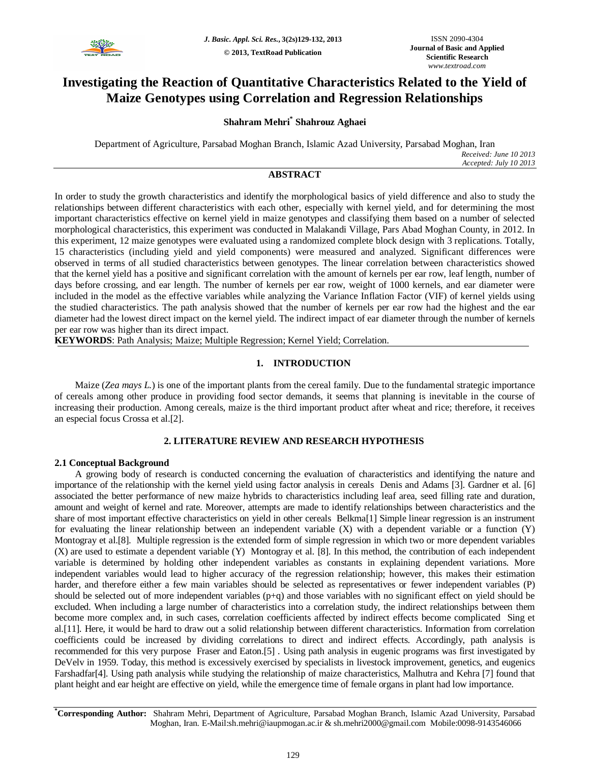

# **Investigating the Reaction of Quantitative Characteristics Related to the Yield of Maize Genotypes using Correlation and Regression Relationships**

# **Shahram Mehri\* Shahrouz Aghaei**

Department of Agriculture, Parsabad Moghan Branch, Islamic Azad University, Parsabad Moghan, Iran *Received: June 10 2013 Accepted: July 10 2013*

# **ABSTRACT**

In order to study the growth characteristics and identify the morphological basics of yield difference and also to study the relationships between different characteristics with each other, especially with kernel yield, and for determining the most important characteristics effective on kernel yield in maize genotypes and classifying them based on a number of selected morphological characteristics, this experiment was conducted in Malakandi Village, Pars Abad Moghan County, in 2012. In this experiment, 12 maize genotypes were evaluated using a randomized complete block design with 3 replications. Totally, 15 characteristics (including yield and yield components) were measured and analyzed. Significant differences were observed in terms of all studied characteristics between genotypes. The linear correlation between characteristics showed that the kernel yield has a positive and significant correlation with the amount of kernels per ear row, leaf length, number of days before crossing, and ear length. The number of kernels per ear row, weight of 1000 kernels, and ear diameter were included in the model as the effective variables while analyzing the Variance Inflation Factor (VIF) of kernel yields using the studied characteristics. The path analysis showed that the number of kernels per ear row had the highest and the ear diameter had the lowest direct impact on the kernel yield. The indirect impact of ear diameter through the number of kernels per ear row was higher than its direct impact.

**KEYWORDS**: Path Analysis; Maize; Multiple Regression; Kernel Yield; Correlation.

# **1. INTRODUCTION**

Maize (*Zea mays L.*) is one of the important plants from the cereal family. Due to the fundamental strategic importance of cereals among other produce in providing food sector demands, it seems that planning is inevitable in the course of increasing their production. Among cereals, maize is the third important product after wheat and rice; therefore, it receives an especial focus Crossa et al.[2].

# **2. LITERATURE REVIEW AND RESEARCH HYPOTHESIS**

# **2.1 Conceptual Background**

A growing body of research is conducted concerning the evaluation of characteristics and identifying the nature and importance of the relationship with the kernel yield using factor analysis in cereals Denis and Adams [3]. Gardner et al. [6] associated the better performance of new maize hybrids to characteristics including leaf area, seed filling rate and duration, amount and weight of kernel and rate. Moreover, attempts are made to identify relationships between characteristics and the share of most important effective characteristics on yield in other cereals Belkma[1] Simple linear regression is an instrument for evaluating the linear relationship between an independent variable (X) with a dependent variable or a function (Y) Montogray et al.[8]. Multiple regression is the extended form of simple regression in which two or more dependent variables (X) are used to estimate a dependent variable (Y) Montogray et al. [8]. In this method, the contribution of each independent variable is determined by holding other independent variables as constants in explaining dependent variations. More independent variables would lead to higher accuracy of the regression relationship; however, this makes their estimation harder, and therefore either a few main variables should be selected as representatives or fewer independent variables (P) should be selected out of more independent variables (p+q) and those variables with no significant effect on yield should be excluded. When including a large number of characteristics into a correlation study, the indirect relationships between them become more complex and, in such cases, correlation coefficients affected by indirect effects become complicated Sing et al.[11]. Here, it would be hard to draw out a solid relationship between different characteristics. Information from correlation coefficients could be increased by dividing correlations to direct and indirect effects. Accordingly, path analysis is recommended for this very purpose Fraser and Eaton.[5] . Using path analysis in eugenic programs was first investigated by DeVelv in 1959. Today, this method is excessively exercised by specialists in livestock improvement, genetics, and eugenics Farshadfar[4]. Using path analysis while studying the relationship of maize characteristics, Malhutra and Kehra [7] found that plant height and ear height are effective on yield, while the emergence time of female organs in plant had low importance.

**\*Corresponding Author:** Shahram Mehri, Department of Agriculture, Parsabad Moghan Branch, Islamic Azad University, Parsabad Moghan, Iran. E-Mail:sh.mehri@iaupmogan.ac.ir & sh.mehri2000@gmail.com Mobile:0098-9143546066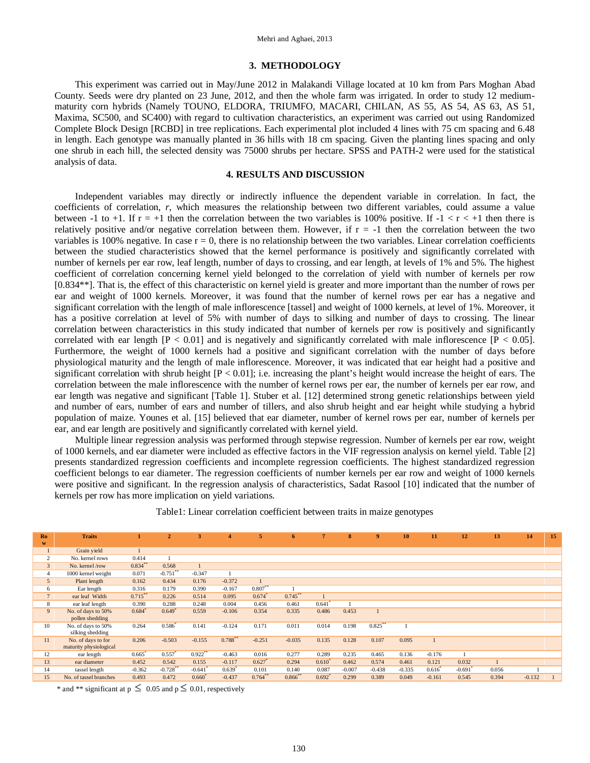#### **3. METHODOLOGY**

This experiment was carried out in May/June 2012 in Malakandi Village located at 10 km from Pars Moghan Abad County. Seeds were dry planted on 23 June, 2012, and then the whole farm was irrigated. In order to study 12 mediummaturity corn hybrids (Namely TOUNO, ELDORA, TRIUMFO, MACARI, CHILAN, AS 55, AS 54, AS 63, AS 51, Maxima, SC500, and SC400) with regard to cultivation characteristics, an experiment was carried out using Randomized Complete Block Design [RCBD] in tree replications. Each experimental plot included 4 lines with 75 cm spacing and 6.48 in length. Each genotype was manually planted in 36 hills with 18 cm spacing. Given the planting lines spacing and only one shrub in each hill, the selected density was 75000 shrubs per hectare. SPSS and PATH-2 were used for the statistical analysis of data.

## **4. RESULTS AND DISCUSSION**

Independent variables may directly or indirectly influence the dependent variable in correlation. In fact, the coefficients of correlation, *r*, which measures the relationship between two different variables, could assume a value between -1 to +1. If  $r = +1$  then the correlation between the two variables is 100% positive. If  $-1 < r < +1$  then there is relatively positive and/or negative correlation between them. However, if  $r = -1$  then the correlation between the two variables is 100% negative. In case  $r = 0$ , there is no relationship between the two variables. Linear correlation coefficients between the studied characteristics showed that the kernel performance is positively and significantly correlated with number of kernels per ear row, leaf length, number of days to crossing, and ear length, at levels of 1% and 5%. The highest coefficient of correlation concerning kernel yield belonged to the correlation of yield with number of kernels per row [0.834\*\*]. That is, the effect of this characteristic on kernel yield is greater and more important than the number of rows per ear and weight of 1000 kernels. Moreover, it was found that the number of kernel rows per ear has a negative and significant correlation with the length of male inflorescence [tassel] and weight of 1000 kernels, at level of 1%. Moreover, it has a positive correlation at level of 5% with number of days to silking and number of days to crossing. The linear correlation between characteristics in this study indicated that number of kernels per row is positively and significantly correlated with ear length  $[P < 0.01]$  and is negatively and significantly correlated with male inflorescence  $[P < 0.05]$ . Furthermore, the weight of 1000 kernels had a positive and significant correlation with the number of days before physiological maturity and the length of male inflorescence. Moreover, it was indicated that ear height had a positive and significant correlation with shrub height  $[P < 0.01]$ ; i.e. increasing the plant's height would increase the height of ears. The correlation between the male inflorescence with the number of kernel rows per ear, the number of kernels per ear row, and ear length was negative and significant [Table 1]. Stuber et al. [12] determined strong genetic relationships between yield and number of ears, number of ears and number of tillers, and also shrub height and ear height while studying a hybrid population of maize. Younes et al. [15] believed that ear diameter, number of kernel rows per ear, number of kernels per ear, and ear length are positively and significantly correlated with kernel yield.

Multiple linear regression analysis was performed through stepwise regression. Number of kernels per ear row, weight of 1000 kernels, and ear diameter were included as effective factors in the VIF regression analysis on kernel yield. Table [2] presents standardized regression coefficients and incomplete regression coefficients. The highest standardized regression coefficient belongs to ear diameter. The regression coefficients of number kernels per ear row and weight of 1000 kernels were positive and significant. In the regression analysis of characteristics, Sadat Rasool [10] indicated that the number of kernels per row has more implication on yield variations.

| Ro             | <b>Traits</b>                                |              | $\overline{2}$        | 3          |             |                      | h          |                      |          | 9          | 10       | 11                | 12       | 13    | 14       | 15 |
|----------------|----------------------------------------------|--------------|-----------------------|------------|-------------|----------------------|------------|----------------------|----------|------------|----------|-------------------|----------|-------|----------|----|
| W              |                                              |              |                       |            |             |                      |            |                      |          |            |          |                   |          |       |          |    |
| $\perp$        | Grain yield                                  | $\mathbf{1}$ |                       |            |             |                      |            |                      |          |            |          |                   |          |       |          |    |
| $\overline{c}$ | No. kernel rows                              | 0.414        |                       |            |             |                      |            |                      |          |            |          |                   |          |       |          |    |
| $\overline{3}$ | No. kernel/row                               | 0.834        | 0.568                 |            |             |                      |            |                      |          |            |          |                   |          |       |          |    |
| $\overline{4}$ | 1000 kernel weight                           | 0.071        | $-0.751$ **           | $-0.347$   |             |                      |            |                      |          |            |          |                   |          |       |          |    |
| 5 <sup>5</sup> | Plant length                                 | 0.162        | 0.434                 | 0.176      | $-0.372$    |                      |            |                      |          |            |          |                   |          |       |          |    |
| 6              | Ear length                                   | 0.316        | 0.179                 | 0.390      | $-0.167$    | $0.807**$            |            |                      |          |            |          |                   |          |       |          |    |
| 7 <sup>1</sup> | ear leaf Width                               | $0.715***$   | 0.226                 | 0.514      | 0.095       | $0.674$ <sup>*</sup> | $0.745***$ |                      |          |            |          |                   |          |       |          |    |
| 8              | ear leaf length                              | 0.390        | 0.288                 | 0.248      | 0.004       | 0.456                | 0.461      | $0.641*$             |          |            |          |                   |          |       |          |    |
| 9              | No. of days to 50%<br>pollen shedding        | $0.684*$     | $0.649*$              | 0.559      | $-0.106$    | 0.354                | 0.335      | 0.486                | 0.453    |            |          |                   |          |       |          |    |
| 10             | No. of days to 50%<br>silking shedding       | 0.264        | $0.586^*$             | 0.141      | $-0.124$    | 0.171                | 0.011      | 0.014                | 0.198    | $0.825***$ |          |                   |          |       |          |    |
| 11             | No. of days to for<br>maturity physiological | 0.206        | $-0.503$              | $-0.155$   | $0.788***$  | $-0.251$             | $-0.035$   | 0.135                | 0.128    | 0.107      | 0.095    |                   |          |       |          |    |
| 12             | ear length                                   | $0.665*$     | $0.557*$              | $0.922***$ | $-0.463$    | 0.016                | 0.277      | 0.289                | 0.235    | 0.465      | 0.136    | $-0.176$          |          |       |          |    |
| 13             | ear diameter                                 | 0.452        | 0.542                 | 0.155      | $-0.117$    | 0.627                | 0.294      | $0.610^*$            | 0.462    | 0.574      | 0.461    | 0.121             | 0.032    |       |          |    |
| 14             | tassel length                                | $-0.362$     | $-0.728$ <sup>*</sup> | $-0.641$   | $0.639^{*}$ | 0.101                | 0.140      | 0.087                | $-0.007$ | $-0.438$   | $-0.335$ | $0.616^{\degree}$ | $-0.691$ | 0.056 |          |    |
| 15             | No. of tassel branches                       | 0.493        | 0.472                 | $0.660*$   | $-0.437$    | 0.764                | 0.866      | $0.692$ <sup>*</sup> | 0.299    | 0.389      | 0.049    | $-0.161$          | 0.545    | 0.394 | $-0.132$ |    |

Table1: Linear correlation coefficient between traits in maize genotypes

\* and \*\* significant at  $p \le 0.05$  and  $p \le 0.01$ , respectively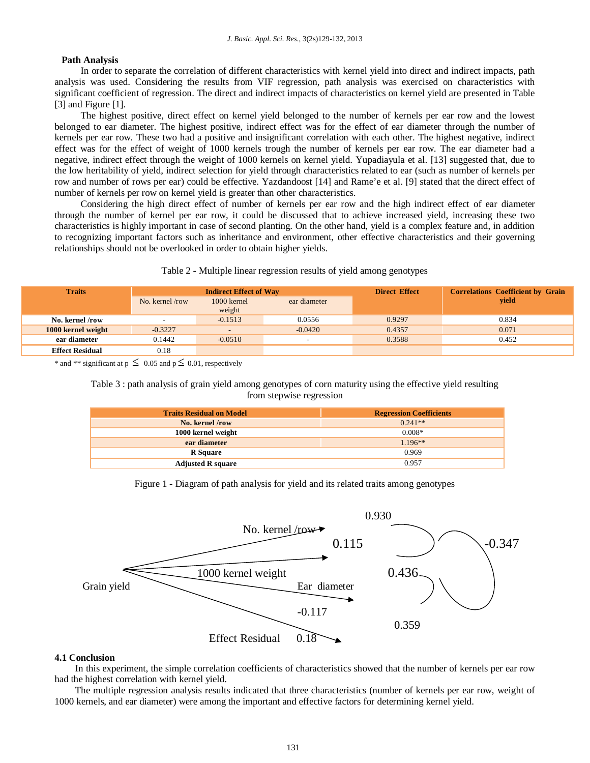# **Path Analysis**

In order to separate the correlation of different characteristics with kernel yield into direct and indirect impacts, path analysis was used. Considering the results from VIF regression, path analysis was exercised on characteristics with significant coefficient of regression. The direct and indirect impacts of characteristics on kernel yield are presented in Table [3] and Figure [1].

The highest positive, direct effect on kernel yield belonged to the number of kernels per ear row and the lowest belonged to ear diameter. The highest positive, indirect effect was for the effect of ear diameter through the number of kernels per ear row. These two had a positive and insignificant correlation with each other. The highest negative, indirect effect was for the effect of weight of 1000 kernels trough the number of kernels per ear row. The ear diameter had a negative, indirect effect through the weight of 1000 kernels on kernel yield. Yupadiayula et al. [13] suggested that, due to the low heritability of yield, indirect selection for yield through characteristics related to ear (such as number of kernels per row and number of rows per ear) could be effective. Yazdandoost [14] and Rame'e et al. [9] stated that the direct effect of number of kernels per row on kernel yield is greater than other characteristics.

Considering the high direct effect of number of kernels per ear row and the high indirect effect of ear diameter through the number of kernel per ear row, it could be discussed that to achieve increased yield, increasing these two characteristics is highly important in case of second planting. On the other hand, yield is a complex feature and, in addition to recognizing important factors such as inheritance and environment, other effective characteristics and their governing relationships should not be overlooked in order to obtain higher yields.

# Table 2 - Multiple linear regression results of yield among genotypes

| <b>Traits</b>          |                | <b>Indirect Effect of Way</b> |              | <b>Direct Effect</b> | <b>Correlations Coefficient by Grain</b> |  |  |
|------------------------|----------------|-------------------------------|--------------|----------------------|------------------------------------------|--|--|
|                        | No. kernel/row | 1000 kernel<br>weight         | ear diameter |                      | vield                                    |  |  |
| No. kernel /row        |                | $-0.1513$                     | 0.0556       | 0.9297               | 0.834                                    |  |  |
| 1000 kernel weight     | $-0.3227$      |                               | $-0.0420$    | 0.4357               | 0.071                                    |  |  |
| ear diameter           | 0.1442         | $-0.0510$                     |              | 0.3588               | 0.452                                    |  |  |
| <b>Effect Residual</b> | 0.18           |                               |              |                      |                                          |  |  |

\* and \*\* significant at  $p \le 0.05$  and  $p \le 0.01$ , respectively

Table 3 : path analysis of grain yield among genotypes of corn maturity using the effective yield resulting from stepwise regression

| <b>Traits Residual on Model</b> | <b>Regression Coefficients</b> |
|---------------------------------|--------------------------------|
| No. kernel /row                 | $0.241**$                      |
| 1000 kernel weight              | $0.008*$                       |
| ear diameter                    | $1.196**$                      |
| <b>R</b> Square                 | 0.969                          |
| <b>Adjusted R square</b>        | 0.957                          |

Figure 1 - Diagram of path analysis for yield and its related traits among genotypes



#### **4.1 Conclusion**

In this experiment, the simple correlation coefficients of characteristics showed that the number of kernels per ear row had the highest correlation with kernel yield.

The multiple regression analysis results indicated that three characteristics (number of kernels per ear row, weight of 1000 kernels, and ear diameter) were among the important and effective factors for determining kernel yield.